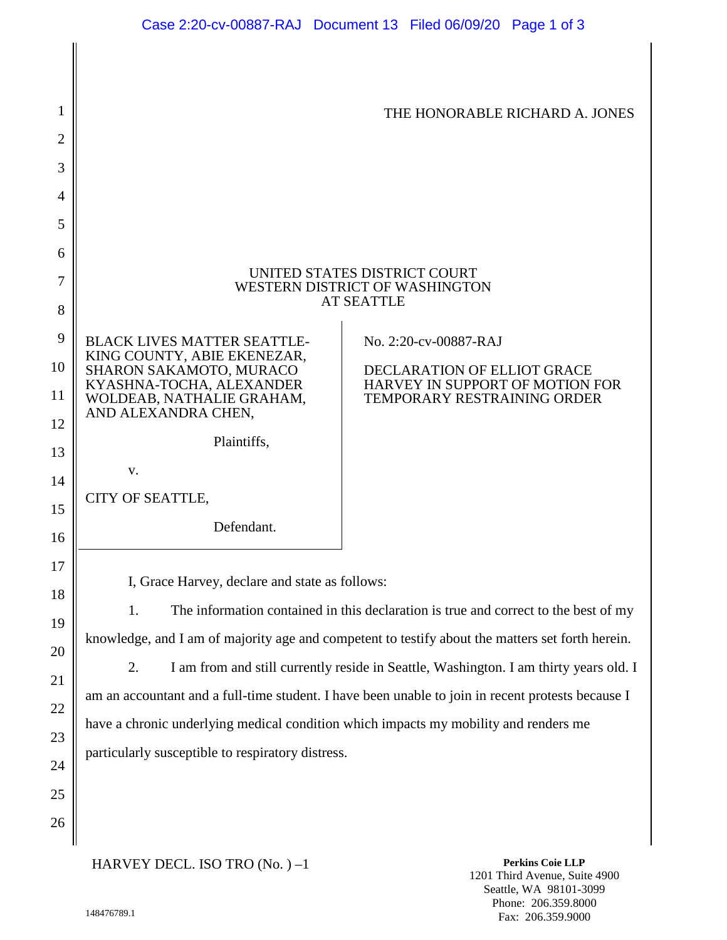| 1              |                                                                                                   | THE HONORABLE RICHARD A. JONES                                 |
|----------------|---------------------------------------------------------------------------------------------------|----------------------------------------------------------------|
| $\overline{2}$ |                                                                                                   |                                                                |
| 3              |                                                                                                   |                                                                |
| 4              |                                                                                                   |                                                                |
| 5              |                                                                                                   |                                                                |
| 6              |                                                                                                   |                                                                |
| 7              | UNITED STATES DISTRICT COURT<br>WESTERN DISTRICT OF WASHINGTON                                    |                                                                |
| 8              | <b>AT SEATTLE</b>                                                                                 |                                                                |
| 9              | <b>BLACK LIVES MATTER SEATTLE-</b>                                                                | No. 2:20-cv-00887-RAJ                                          |
| 10             | KING COUNTY, ABIE EKENEZAR,<br>SHARON SAKAMOTO, MURACO                                            | DECLARATION OF ELLIOT GRACE                                    |
| 11             | KYASHNA-TOCHA, ALEXANDER<br>WOLDEAB, NATHALIE GRAHAM,                                             | HARVEY IN SUPPORT OF MOTION FOR<br>TEMPORARY RESTRAINING ORDER |
| 12             | AND ALEXANDRA CHEN.                                                                               |                                                                |
| 13             | Plaintiffs,                                                                                       |                                                                |
| 14             | V.                                                                                                |                                                                |
| 15             | CITY OF SEATTLE,                                                                                  |                                                                |
| 16             | Defendant.                                                                                        |                                                                |
| 17             |                                                                                                   |                                                                |
| 18             | I, Grace Harvey, declare and state as follows:                                                    |                                                                |
| 19             | 1.<br>The information contained in this declaration is true and correct to the best of my         |                                                                |
| 20             | knowledge, and I am of majority age and competent to testify about the matters set forth herein.  |                                                                |
| 21             | 2.<br>I am from and still currently reside in Seattle, Washington. I am thirty years old. I       |                                                                |
| 22             | am an accountant and a full-time student. I have been unable to join in recent protests because I |                                                                |
| 23             | have a chronic underlying medical condition which impacts my mobility and renders me              |                                                                |
| 24             | particularly susceptible to respiratory distress.                                                 |                                                                |

HARVEY DECL. ISO TRO (No. ) –1

**Perkins Coie LLP** 1201 Third Avenue, Suite 4900 Seattle, WA 98101-3099 Phone: 206.359.8000 Fax: 206.359.9000

25

26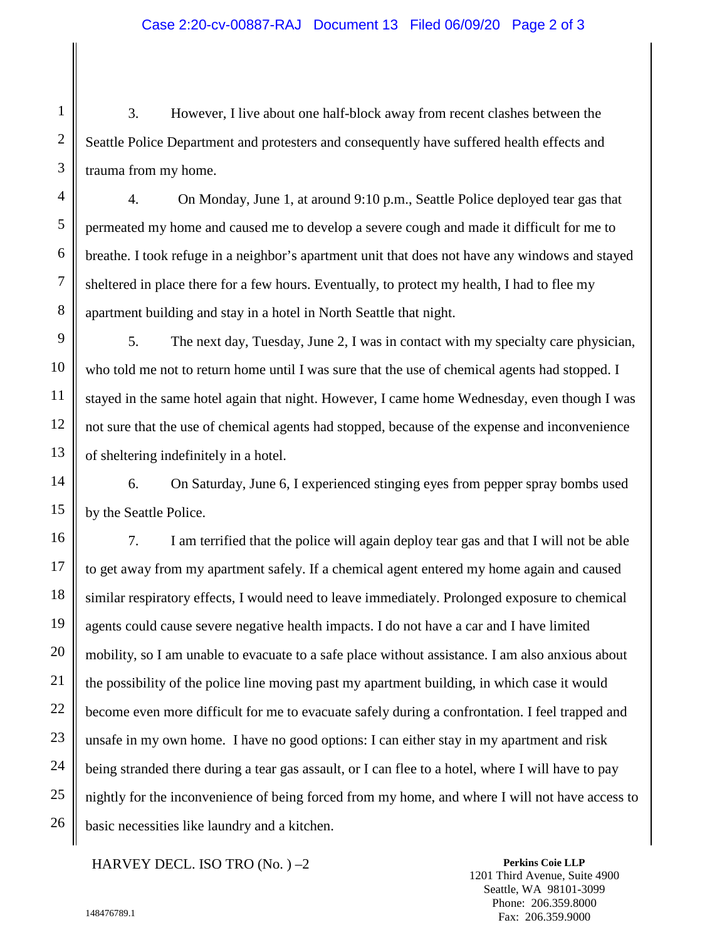3. However, I live about one half-block away from recent clashes between the Seattle Police Department and protesters and consequently have suffered health effects and trauma from my home.

4. On Monday, June 1, at around 9:10 p.m., Seattle Police deployed tear gas that permeated my home and caused me to develop a severe cough and made it difficult for me to breathe. I took refuge in a neighbor's apartment unit that does not have any windows and stayed sheltered in place there for a few hours. Eventually, to protect my health, I had to flee my apartment building and stay in a hotel in North Seattle that night.

5. The next day, Tuesday, June 2, I was in contact with my specialty care physician, who told me not to return home until I was sure that the use of chemical agents had stopped. I stayed in the same hotel again that night. However, I came home Wednesday, even though I was not sure that the use of chemical agents had stopped, because of the expense and inconvenience of sheltering indefinitely in a hotel.

6. On Saturday, June 6, I experienced stinging eyes from pepper spray bombs used by the Seattle Police.

7. I am terrified that the police will again deploy tear gas and that I will not be able to get away from my apartment safely. If a chemical agent entered my home again and caused similar respiratory effects, I would need to leave immediately. Prolonged exposure to chemical agents could cause severe negative health impacts. I do not have a car and I have limited mobility, so I am unable to evacuate to a safe place without assistance. I am also anxious about the possibility of the police line moving past my apartment building, in which case it would become even more difficult for me to evacuate safely during a confrontation. I feel trapped and unsafe in my own home. I have no good options: I can either stay in my apartment and risk being stranded there during a tear gas assault, or I can flee to a hotel, where I will have to pay nightly for the inconvenience of being forced from my home, and where I will not have access to basic necessities like laundry and a kitchen.

HARVEY DECL. ISO TRO (No. ) –2

**Perkins Coie LLP** 1201 Third Avenue, Suite 4900 Seattle, WA 98101-3099 Phone: 206.359.8000 Fax: 206.359.9000